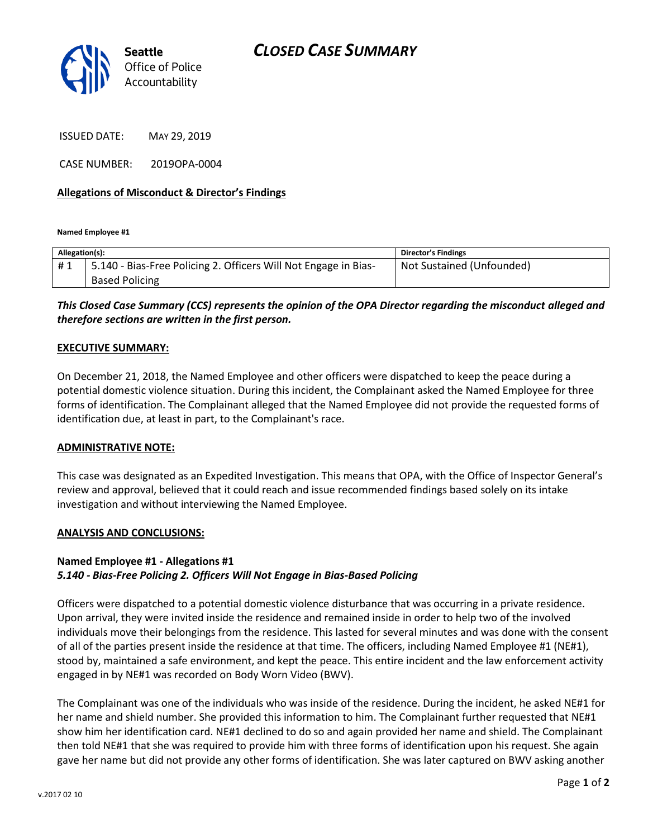

ISSUED DATE: MAY 29, 2019

CASE NUMBER: 2019OPA-0004

### **Allegations of Misconduct & Director's Findings**

**Named Employee #1**

| Allegation(s): |                                                                 | Director's Findings       |
|----------------|-----------------------------------------------------------------|---------------------------|
| #1             | 5.140 - Bias-Free Policing 2. Officers Will Not Engage in Bias- | Not Sustained (Unfounded) |
|                | <b>Based Policing</b>                                           |                           |

## *This Closed Case Summary (CCS) represents the opinion of the OPA Director regarding the misconduct alleged and therefore sections are written in the first person.*

#### **EXECUTIVE SUMMARY:**

On December 21, 2018, the Named Employee and other officers were dispatched to keep the peace during a potential domestic violence situation. During this incident, the Complainant asked the Named Employee for three forms of identification. The Complainant alleged that the Named Employee did not provide the requested forms of identification due, at least in part, to the Complainant's race.

#### **ADMINISTRATIVE NOTE:**

This case was designated as an Expedited Investigation. This means that OPA, with the Office of Inspector General's review and approval, believed that it could reach and issue recommended findings based solely on its intake investigation and without interviewing the Named Employee.

#### **ANALYSIS AND CONCLUSIONS:**

## **Named Employee #1 - Allegations #1**

## *5.140 - Bias-Free Policing 2. Officers Will Not Engage in Bias-Based Policing*

Officers were dispatched to a potential domestic violence disturbance that was occurring in a private residence. Upon arrival, they were invited inside the residence and remained inside in order to help two of the involved individuals move their belongings from the residence. This lasted for several minutes and was done with the consent of all of the parties present inside the residence at that time. The officers, including Named Employee #1 (NE#1), stood by, maintained a safe environment, and kept the peace. This entire incident and the law enforcement activity engaged in by NE#1 was recorded on Body Worn Video (BWV).

The Complainant was one of the individuals who was inside of the residence. During the incident, he asked NE#1 for her name and shield number. She provided this information to him. The Complainant further requested that NE#1 show him her identification card. NE#1 declined to do so and again provided her name and shield. The Complainant then told NE#1 that she was required to provide him with three forms of identification upon his request. She again gave her name but did not provide any other forms of identification. She was later captured on BWV asking another